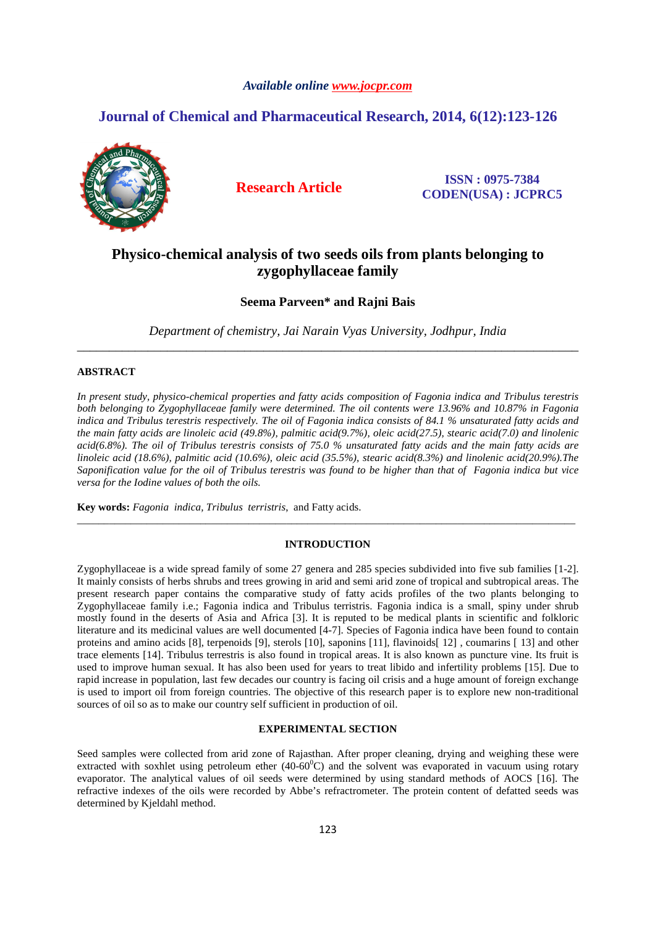### *Available online www.jocpr.com*

# **Journal of Chemical and Pharmaceutical Research, 2014, 6(12):123-126**



**Research Article ISSN : 0975-7384 CODEN(USA) : JCPRC5**

# **Physico-chemical analysis of two seeds oils from plants belonging to zygophyllaceae family**

## **Seema Parveen\* and Rajni Bais**

*Department of chemistry, Jai Narain Vyas University, Jodhpur, India*  \_\_\_\_\_\_\_\_\_\_\_\_\_\_\_\_\_\_\_\_\_\_\_\_\_\_\_\_\_\_\_\_\_\_\_\_\_\_\_\_\_\_\_\_\_\_\_\_\_\_\_\_\_\_\_\_\_\_\_\_\_\_\_\_\_\_\_\_\_\_\_\_\_\_\_\_\_\_

## **ABSTRACT**

*In present study, physico-chemical properties and fatty acids composition of Fagonia indica and Tribulus terestris both belonging to Zygophyllaceae family were determined. The oil contents were 13.96% and 10.87% in Fagonia indica and Tribulus terestris respectively. The oil of Fagonia indica consists of 84.1 % unsaturated fatty acids and the main fatty acids are linoleic acid (49.8%), palmitic acid(9.7%), oleic acid(27.5), stearic acid(7.0) and linolenic acid(6.8%). The oil of Tribulus terestris consists of 75.0 % unsaturated fatty acids and the main fatty acids are linoleic acid (18.6%), palmitic acid (10.6%), oleic acid (35.5%), stearic acid(8.3%) and linolenic acid(20.9%).The Saponification value for the oil of Tribulus terestris was found to be higher than that of Fagonia indica but vice versa for the Iodine values of both the oils.* 

**Key words:** *Fagonia indica, Tribulus terristris*, and Fatty acids.

#### **INTRODUCTION**

\_\_\_\_\_\_\_\_\_\_\_\_\_\_\_\_\_\_\_\_\_\_\_\_\_\_\_\_\_\_\_\_\_\_\_\_\_\_\_\_\_\_\_\_\_\_\_\_\_\_\_\_\_\_\_\_\_\_\_\_\_\_\_\_\_\_\_\_\_\_\_\_\_\_\_\_\_\_\_\_\_\_\_\_\_\_\_\_\_\_\_\_\_

Zygophyllaceae is a wide spread family of some 27 genera and 285 species subdivided into five sub families [1-2]. It mainly consists of herbs shrubs and trees growing in arid and semi arid zone of tropical and subtropical areas. The present research paper contains the comparative study of fatty acids profiles of the two plants belonging to Zygophyllaceae family i.e.; Fagonia indica and Tribulus terristris. Fagonia indica is a small, spiny under shrub mostly found in the deserts of Asia and Africa [3]. It is reputed to be medical plants in scientific and folkloric literature and its medicinal values are well documented [4-7]. Species of Fagonia indica have been found to contain proteins and amino acids [8], terpenoids [9], sterols [10], saponins [11], flavinoids[ 12] , coumarins [ 13] and other trace elements [14]. Tribulus terrestris is also found in tropical areas. It is also known as puncture vine. Its fruit is used to improve human sexual. It has also been used for years to treat libido and infertility problems [15]. Due to rapid increase in population, last few decades our country is facing oil crisis and a huge amount of foreign exchange is used to import oil from foreign countries. The objective of this research paper is to explore new non-traditional sources of oil so as to make our country self sufficient in production of oil.

### **EXPERIMENTAL SECTION**

Seed samples were collected from arid zone of Rajasthan. After proper cleaning, drying and weighing these were extracted with soxhlet using petroleum ether  $(40-60^{\circ}C)$  and the solvent was evaporated in vacuum using rotary evaporator. The analytical values of oil seeds were determined by using standard methods of AOCS [16]. The refractive indexes of the oils were recorded by Abbe's refractrometer. The protein content of defatted seeds was determined by Kjeldahl method.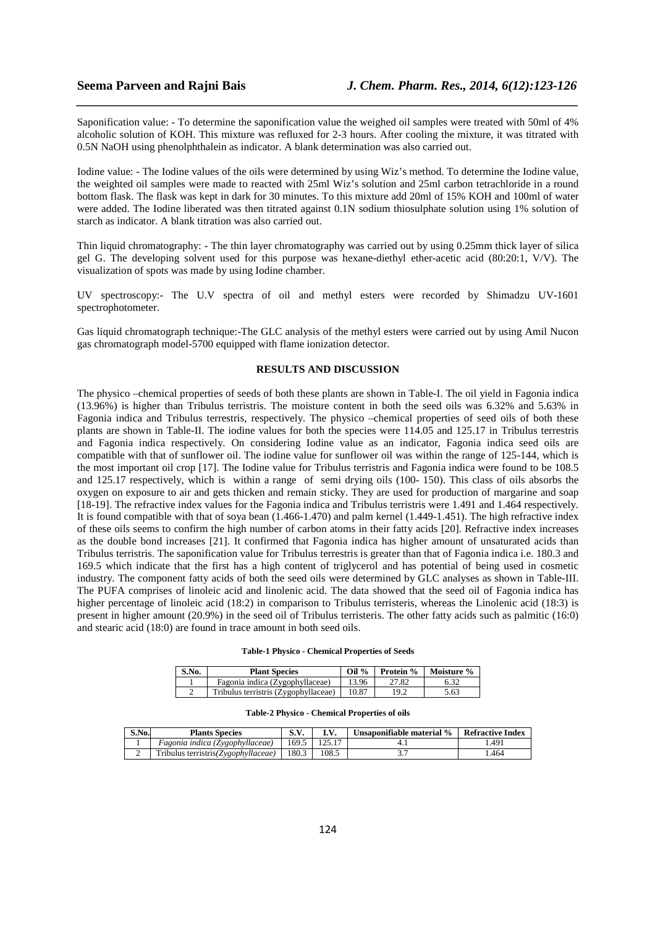Saponification value: - To determine the saponification value the weighed oil samples were treated with 50ml of 4% alcoholic solution of KOH. This mixture was refluxed for 2-3 hours. After cooling the mixture, it was titrated with 0.5N NaOH using phenolphthalein as indicator. A blank determination was also carried out.

*\_\_\_\_\_\_\_\_\_\_\_\_\_\_\_\_\_\_\_\_\_\_\_\_\_\_\_\_\_\_\_\_\_\_\_\_\_\_\_\_\_\_\_\_\_\_\_\_\_\_\_\_\_\_\_\_\_\_\_\_\_\_\_\_\_\_\_\_\_\_\_\_\_\_\_\_\_\_*

Iodine value: - The Iodine values of the oils were determined by using Wiz's method. To determine the Iodine value, the weighted oil samples were made to reacted with 25ml Wiz's solution and 25ml carbon tetrachloride in a round bottom flask. The flask was kept in dark for 30 minutes. To this mixture add 20ml of 15% KOH and 100ml of water were added. The Iodine liberated was then titrated against 0.1N sodium thiosulphate solution using 1% solution of starch as indicator. A blank titration was also carried out.

Thin liquid chromatography: - The thin layer chromatography was carried out by using 0.25mm thick layer of silica gel G. The developing solvent used for this purpose was hexane-diethyl ether-acetic acid (80:20:1, V/V). The visualization of spots was made by using Iodine chamber.

UV spectroscopy:- The U.V spectra of oil and methyl esters were recorded by Shimadzu UV-1601 spectrophotometer.

Gas liquid chromatograph technique:-The GLC analysis of the methyl esters were carried out by using Amil Nucon gas chromatograph model-5700 equipped with flame ionization detector.

## **RESULTS AND DISCUSSION**

The physico –chemical properties of seeds of both these plants are shown in Table-I. The oil yield in Fagonia indica (13.96%) is higher than Tribulus terristris. The moisture content in both the seed oils was 6.32% and 5.63% in Fagonia indica and Tribulus terrestris, respectively. The physico –chemical properties of seed oils of both these plants are shown in Table-II. The iodine values for both the species were 114.05 and 125.17 in Tribulus terrestris and Fagonia indica respectively. On considering Iodine value as an indicator, Fagonia indica seed oils are compatible with that of sunflower oil. The iodine value for sunflower oil was within the range of 125-144, which is the most important oil crop [17]. The Iodine value for Tribulus terristris and Fagonia indica were found to be 108.5 and 125.17 respectively, which is within a range of semi drying oils (100- 150). This class of oils absorbs the oxygen on exposure to air and gets thicken and remain sticky. They are used for production of margarine and soap [18-19]. The refractive index values for the Fagonia indica and Tribulus terristris were 1.491 and 1.464 respectively. It is found compatible with that of soya bean (1.466-1.470) and palm kernel (1.449-1.451). The high refractive index of these oils seems to confirm the high number of carbon atoms in their fatty acids [20]. Refractive index increases as the double bond increases [21]. It confirmed that Fagonia indica has higher amount of unsaturated acids than Tribulus terristris. The saponification value for Tribulus terrestris is greater than that of Fagonia indica i.e. 180.3 and 169.5 which indicate that the first has a high content of triglycerol and has potential of being used in cosmetic industry. The component fatty acids of both the seed oils were determined by GLC analyses as shown in Table-III. The PUFA comprises of linoleic acid and linolenic acid. The data showed that the seed oil of Fagonia indica has higher percentage of linoleic acid (18:2) in comparison to Tribulus terristeris, whereas the Linolenic acid (18:3) is present in higher amount (20.9%) in the seed oil of Tribulus terristeris. The other fatty acids such as palmitic (16:0) and stearic acid (18:0) are found in trace amount in both seed oils.

|  |  | Table-1 Physico - Chemical Properties of Seeds |
|--|--|------------------------------------------------|
|--|--|------------------------------------------------|

| S.No. | <b>Plant Species</b>                 | Oil $\%$ |       | <b>Protein %   Moisture %</b> |
|-------|--------------------------------------|----------|-------|-------------------------------|
|       | Fagonia indica (Zygophyllaceae)      | 13.96    | 27.82 |                               |
|       | Tribulus terristris (Zygophyllaceae) | 10.87    | 19.2  | 5.63                          |

#### **Table-2 Physico - Chemical Properties of oils**

| S.No. | <b>Plants Species</b>               | $C$ V<br>5. V. |       | Unsaponifiable material % | <b>Refractive Index</b> |
|-------|-------------------------------------|----------------|-------|---------------------------|-------------------------|
|       | Fagonia indica (Zygophyllaceae)     | 169.5          |       |                           | .491                    |
|       | Tribulus terristris(Zygophyllaceae) | 180.3          | 108.5 |                           | .464                    |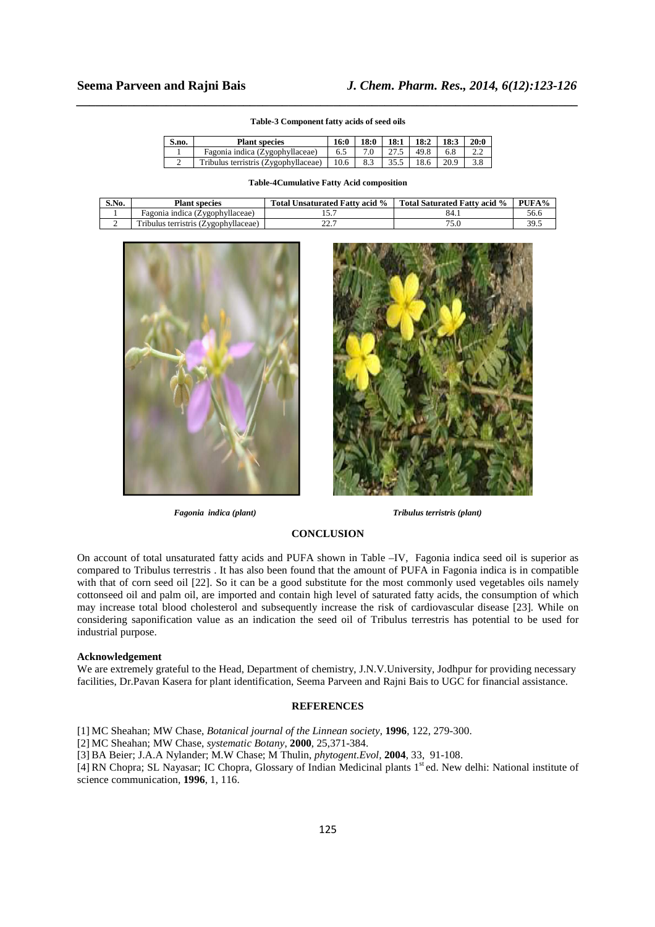# *\_\_\_\_\_\_\_\_\_\_\_\_\_\_\_\_\_\_\_\_\_\_\_\_\_\_\_\_\_\_\_\_\_\_\_\_\_\_\_\_\_\_\_\_\_\_\_\_\_\_\_\_\_\_\_\_\_\_\_\_\_\_\_\_\_\_\_\_\_\_\_\_\_\_\_\_\_\_* **Table-3 Component fatty acids of seed oils**

| S.no. | <b>Plant species</b>                 | 16:0 | 18:0 | 18:1 | 18:2 | 18:3 | 20:0 |
|-------|--------------------------------------|------|------|------|------|------|------|
|       | Fagonia indica (Zygophyllaceae)      | 6.5  |      |      | 49.8 |      |      |
|       | Tribulus terristris (Zygophyllaceae) | 10.6 | 8.3  |      | 18.6 | 20.9 |      |

#### **Table-4Cumulative Fatty Acid composition**

| S.No. | <b>Plant species</b>                 | Total Unsaturated Fatty acid % | Total Saturated Fatty acid % | PUFA% |
|-------|--------------------------------------|--------------------------------|------------------------------|-------|
|       | Fagonia indica (Zygophyllaceae)      |                                | 84.1                         | 56.6  |
| ∽     | Tribulus terristris (Zygophyllaceae) |                                |                              | 39.5  |





*Fagonia indica (plant) Tribulus terristris (plant)* 

#### **CONCLUSION**

On account of total unsaturated fatty acids and PUFA shown in Table –IV, Fagonia indica seed oil is superior as compared to Tribulus terrestris . It has also been found that the amount of PUFA in Fagonia indica is in compatible with that of corn seed oil [22]. So it can be a good substitute for the most commonly used vegetables oils namely cottonseed oil and palm oil, are imported and contain high level of saturated fatty acids, the consumption of which may increase total blood cholesterol and subsequently increase the risk of cardiovascular disease [23]. While on considering saponification value as an indication the seed oil of Tribulus terrestris has potential to be used for industrial purpose.

#### **Acknowledgement**

We are extremely grateful to the Head, Department of chemistry, J.N.V.University, Jodhpur for providing necessary facilities, Dr.Pavan Kasera for plant identification, Seema Parveen and Rajni Bais to UGC for financial assistance.

### **REFERENCES**

- [1] MC Sheahan; MW Chase, *Botanical journal of the Linnean society*, **1996**, 122, 279-300.
- [2] MC Sheahan; MW Chase, *systematic Botany*, **2000**, 25,371-384.
- [3] BA Beier; J.A.A Nylander; M.W Chase; M Thulin, *phytogent.Evol,* **2004**, 33, 91-108.

[4] RN Chopra; SL Nayasar; IC Chopra, Glossary of Indian Medicinal plants 1<sup>st</sup> ed. New delhi: National institute of science communication, **1996**, 1, 116.